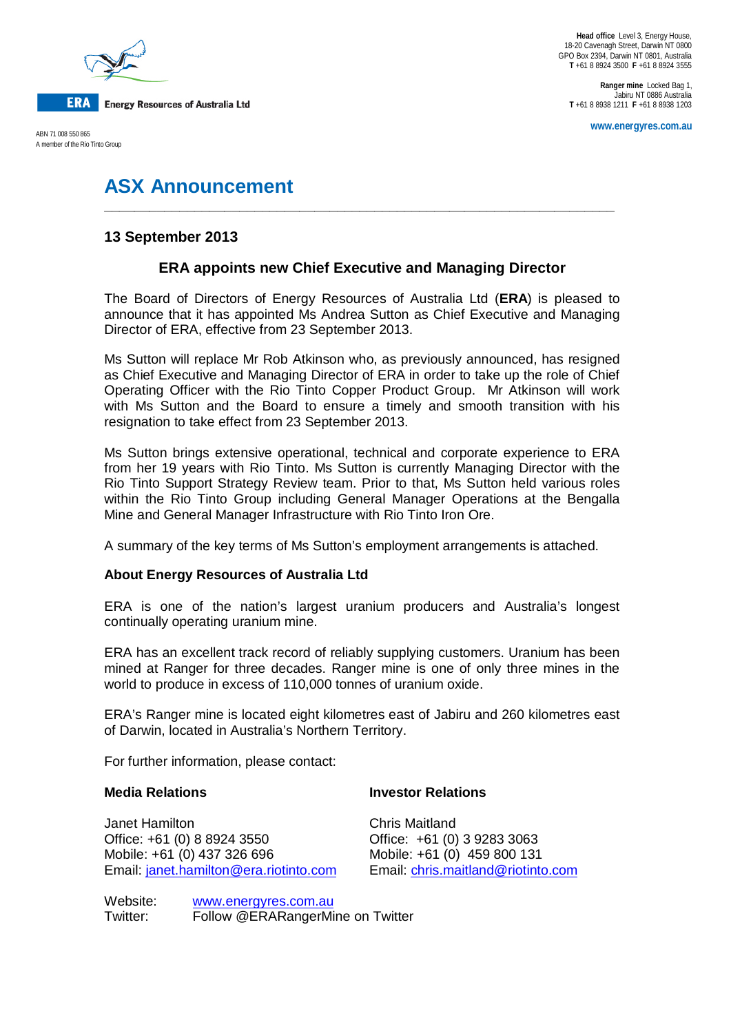

A member of the Rio Tinto Group

**Ranger mine** Locked Bag 1, Jabiru NT 0886 Australia **T** +61 8 8938 1211 **F** +61 8 8938 1203

**www.energyres.com.au** ABN 71 008 550 865

# **ASX Announcement**

## **13 September 2013**

# **ERA appoints new Chief Executive and Managing Director**

**\_\_\_\_\_\_\_\_\_\_\_\_\_\_\_\_\_\_\_\_\_\_\_\_\_\_\_\_\_\_\_\_\_\_\_\_\_\_\_\_\_\_\_\_\_\_\_\_\_\_\_\_\_\_\_\_\_\_\_\_\_\_\_\_\_\_\_\_**

The Board of Directors of Energy Resources of Australia Ltd (**ERA**) is pleased to announce that it has appointed Ms Andrea Sutton as Chief Executive and Managing Director of ERA, effective from 23 September 2013.

Ms Sutton will replace Mr Rob Atkinson who, as previously announced, has resigned as Chief Executive and Managing Director of ERA in order to take up the role of Chief Operating Officer with the Rio Tinto Copper Product Group. Mr Atkinson will work with Ms Sutton and the Board to ensure a timely and smooth transition with his resignation to take effect from 23 September 2013.

Ms Sutton brings extensive operational, technical and corporate experience to ERA from her 19 years with Rio Tinto. Ms Sutton is currently Managing Director with the Rio Tinto Support Strategy Review team. Prior to that, Ms Sutton held various roles within the Rio Tinto Group including General Manager Operations at the Bengalla Mine and General Manager Infrastructure with Rio Tinto Iron Ore.

A summary of the key terms of Ms Sutton's employment arrangements is attached.

### **About Energy Resources of Australia Ltd**

ERA is one of the nation's largest uranium producers and Australia's longest continually operating uranium mine.

ERA has an excellent track record of reliably supplying customers. Uranium has been mined at Ranger for three decades. Ranger mine is one of only three mines in the world to produce in excess of 110,000 tonnes of uranium oxide.

ERA's Ranger mine is located eight kilometres east of Jabiru and 260 kilometres east of Darwin, located in Australia's Northern Territory.

For further information, please contact:

#### **Media Relations Investor Relations**

Janet Hamilton Chris Maitland<br>Office: +61 (0) 8 8924 3550 Chris Chris Chris (0) Office: +61 (0) 8 8924 3550 Office: +61 (0) 3 9283 3063 Email: [janet.hamilton@era.riotinto.com](mailto:janet.hamilton@era.riotinto.com) Email: [chris.maitland@riotinto.com](mailto:chris.maitland@riotinto.com)

Mobile: +61 (0) 459 800 131

Website: [www.energyres.com.au](http://www.energyres.com.au/) Twitter: Follow @ERARangerMine on Twitter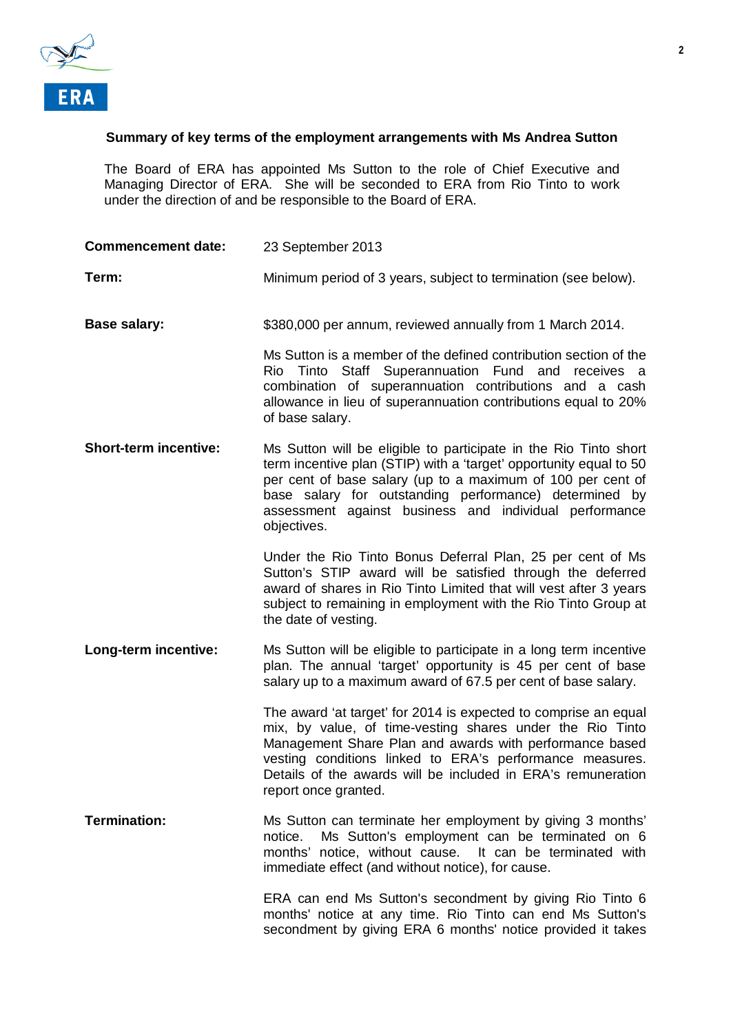

#### **Summary of key terms of the employment arrangements with Ms Andrea Sutton**

The Board of ERA has appointed Ms Sutton to the role of Chief Executive and Managing Director of ERA. She will be seconded to ERA from Rio Tinto to work under the direction of and be responsible to the Board of ERA.

| <b>Commencement date:</b>    | 23 September 2013                                                                                                                                                                                                                                                                                                                           |
|------------------------------|---------------------------------------------------------------------------------------------------------------------------------------------------------------------------------------------------------------------------------------------------------------------------------------------------------------------------------------------|
| Term:                        | Minimum period of 3 years, subject to termination (see below).                                                                                                                                                                                                                                                                              |
| <b>Base salary:</b>          | \$380,000 per annum, reviewed annually from 1 March 2014.                                                                                                                                                                                                                                                                                   |
|                              | Ms Sutton is a member of the defined contribution section of the<br>Rio Tinto Staff Superannuation Fund and receives a<br>combination of superannuation contributions and a cash<br>allowance in lieu of superannuation contributions equal to 20%<br>of base salary.                                                                       |
| <b>Short-term incentive:</b> | Ms Sutton will be eligible to participate in the Rio Tinto short<br>term incentive plan (STIP) with a 'target' opportunity equal to 50<br>per cent of base salary (up to a maximum of 100 per cent of<br>base salary for outstanding performance) determined by<br>assessment against business and individual performance<br>objectives.    |
|                              | Under the Rio Tinto Bonus Deferral Plan, 25 per cent of Ms<br>Sutton's STIP award will be satisfied through the deferred<br>award of shares in Rio Tinto Limited that will vest after 3 years<br>subject to remaining in employment with the Rio Tinto Group at<br>the date of vesting.                                                     |
| Long-term incentive:         | Ms Sutton will be eligible to participate in a long term incentive<br>plan. The annual 'target' opportunity is 45 per cent of base<br>salary up to a maximum award of 67.5 per cent of base salary.                                                                                                                                         |
|                              | The award 'at target' for 2014 is expected to comprise an equal<br>mix, by value, of time-vesting shares under the Rio Tinto<br>Management Share Plan and awards with performance based<br>vesting conditions linked to ERA's performance measures.<br>Details of the awards will be included in ERA's remuneration<br>report once granted. |
| <b>Termination:</b>          | Ms Sutton can terminate her employment by giving 3 months'<br>Ms Sutton's employment can be terminated on 6<br>notice.<br>months' notice, without cause. It can be terminated with<br>immediate effect (and without notice), for cause.                                                                                                     |
|                              | ERA can end Ms Sutton's secondment by giving Rio Tinto 6<br>months' notice at any time. Rio Tinto can end Ms Sutton's<br>secondment by giving ERA 6 months' notice provided it takes                                                                                                                                                        |